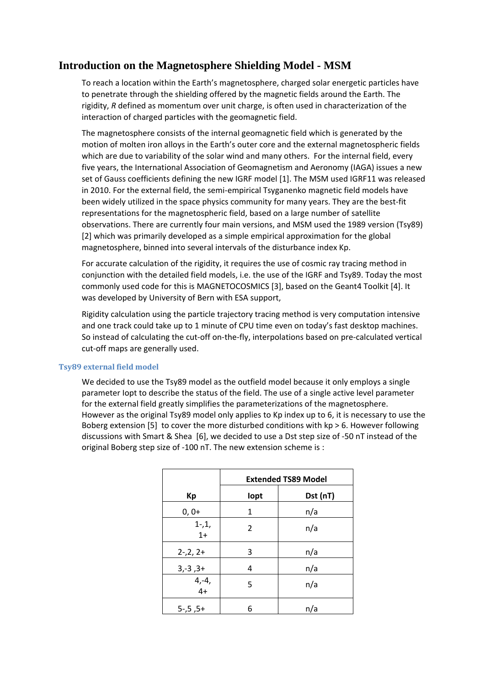# **Introduction on the Magnetosphere Shielding Model - MSM**

To reach a location within the Earth's magnetosphere, charged solar energetic particles have to penetrate through the shielding offered by the magnetic fields around the Earth. The rigidity, *R* defined as momentum over unit charge, is often used in characterization of the interaction of charged particles with the geomagnetic field.

The magnetosphere consists of the internal geomagnetic field which is generated by the motion of molten iron alloys in the Earth's outer core and the external magnetospheric fields which are due to variability of the solar wind and many others. For the internal field, every five years, the International Association of Geomagnetism and Aeronomy (IAGA) issues a new set of Gauss coefficients defining the new IGRF model [1]. The MSM used IGRF11 was released in 2010. For the external field, the semi-empirical Tsyganenko magnetic field models have been widely utilized in the space physics community for many years. They are the best‐fit representations for the magnetospheric field, based on a large number of satellite observations. There are currently four main versions, and MSM used the 1989 version (Tsy89) [2] which was primarily developed as a simple empirical approximation for the global magnetosphere, binned into several intervals of the disturbance index Kp.

For accurate calculation of the rigidity, it requires the use of cosmic ray tracing method in conjunction with the detailed field models, i.e. the use of the IGRF and Tsy89. Today the most commonly used code for this is MAGNETOCOSMICS [3], based on the Geant4 Toolkit [4]. It was developed by University of Bern with ESA support,

Rigidity calculation using the particle trajectory tracing method is very computation intensive and one track could take up to 1 minute of CPU time even on today's fast desktop machines. So instead of calculating the cut-off on-the-fly, interpolations based on pre-calculated vertical cut‐off maps are generally used.

## **Tsy89 external field model**

We decided to use the Tsy89 model as the outfield model because it only employs a single parameter Iopt to describe the status of the field. The use of a single active level parameter for the external field greatly simplifies the parameterizations of the magnetosphere. However as the original Tsy89 model only applies to Kp index up to 6, it is necessary to use the Boberg extension [5] to cover the more disturbed conditions with  $kp > 6$ . However following discussions with Smart & Shea [6], we decided to use a Dst step size of ‐50 nT instead of the original Boberg step size of ‐100 nT. The new extension scheme is :

|                   | <b>Extended TS89 Model</b> |          |
|-------------------|----------------------------|----------|
| Кp                | lopt                       | Dst (nT) |
| $0, 0+$           | 1                          | n/a      |
| $1 - 1$<br>$1+$   | $\overline{2}$             | n/a      |
| $2-2, 2+$         | 3                          | n/a      |
| $3,-3,3+$         | 4                          | n/a      |
| $4,-4,$<br>$4+$   | 5                          | n/a      |
| $5 - 0.5 - 0.5 +$ | 6                          | n/a      |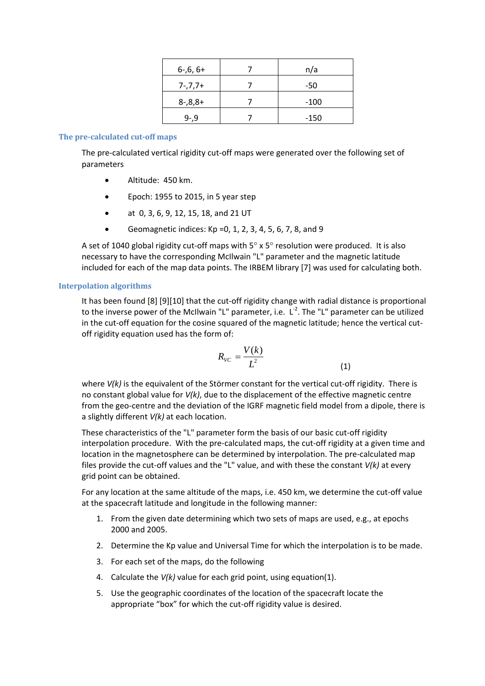| $6-6, 6+$   | n/a    |
|-------------|--------|
| $7 - 7,7 +$ | $-50$  |
|             | $-100$ |
| $9 - 9$     | $-150$ |

## **The pre‐calculated cut‐off maps**

The pre-calculated vertical rigidity cut-off maps were generated over the following set of parameters

- Altitude: 450 km.
- Epoch: 1955 to 2015, in 5 year step
- at 0, 3, 6, 9, 12, 15, 18, and 21 UT
- Geomagnetic indices:  $Kp = 0, 1, 2, 3, 4, 5, 6, 7, 8,$  and 9

A set of 1040 global rigidity cut-off maps with  $5^\circ \times 5^\circ$  resolution were produced. It is also necessary to have the corresponding McIlwain "L" parameter and the magnetic latitude included for each of the map data points. The IRBEM library [7] was used for calculating both.

## **Interpolation algorithms**

It has been found [8] [9][10] that the cut-off rigidity change with radial distance is proportional to the inverse power of the McIlwain "L" parameter, i.e. L<sup>-2</sup>. The "L" parameter can be utilized in the cut-off equation for the cosine squared of the magnetic latitude; hence the vertical cutoff rigidity equation used has the form of:

$$
R_{VC} = \frac{V(k)}{L^2} \tag{1}
$$

where  $V(k)$  is the equivalent of the Störmer constant for the vertical cut-off rigidity. There is no constant global value for *V(k)*, due to the displacement of the effective magnetic centre from the geo-centre and the deviation of the IGRF magnetic field model from a dipole, there is a slightly different *V(k)* at each location.

These characteristics of the "L" parameter form the basis of our basic cut-off rigidity interpolation procedure. With the pre‐calculated maps, the cut‐off rigidity at a given time and location in the magnetosphere can be determined by interpolation. The pre‐calculated map files provide the cut‐off values and the "L" value, and with these the constant *V(k)* at every grid point can be obtained.

For any location at the same altitude of the maps, i.e. 450 km, we determine the cut‐off value at the spacecraft latitude and longitude in the following manner:

- 1. From the given date determining which two sets of maps are used, e.g., at epochs 2000 and 2005.
- 2. Determine the Kp value and Universal Time for which the interpolation is to be made.
- 3. For each set of the maps, do the following
- 4. Calculate the *V(k)* value for each grid point, using equation(1).
- 5. Use the geographic coordinates of the location of the spacecraft locate the appropriate "box" for which the cut-off rigidity value is desired.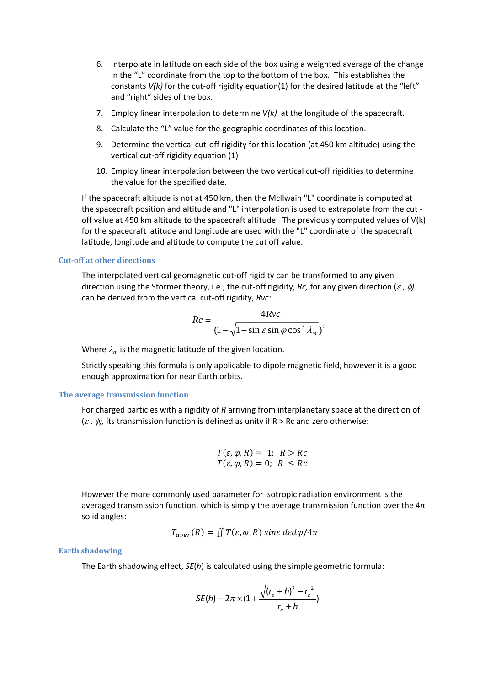- 6. Interpolate in latitude on each side of the box using a weighted average of the change in the "L" coordinate from the top to the bottom of the box. This establishes the constants *V(k)* for the cut-off rigidity equation(1) for the desired latitude at the "left" and "right" sides of the box.
- 7. Employ linear interpolation to determine *V(k)* at the longitude of the spacecraft.
- 8. Calculate the "L" value for the geographic coordinates of this location.
- 9. Determine the vertical cut-off rigidity for this location (at 450 km altitude) using the vertical cut‐off rigidity equation (1)
- 10. Employ linear interpolation between the two vertical cut-off rigidities to determine the value for the specified date.

If the spacecraft altitude is not at 450 km, then the McIlwain "L" coordinate is computed at the spacecraft position and altitude and "L" interpolation is used to extrapolate from the cut ‐ off value at 450 km altitude to the spacecraft altitude. The previously computed values of V(k) for the spacecraft latitude and longitude are used with the "L" coordinate of the spacecraft latitude, longitude and altitude to compute the cut off value.

#### **Cut‐off at other directions**

The interpolated vertical geomagnetic cut-off rigidity can be transformed to any given direction using the Störmer theory, i.e., the cut-off rigidity, *Rc*, for any given direction ( $\varepsilon$ ,  $\phi$ ) can be derived from the vertical cut‐off rigidity, *Rvc:*

$$
Rc = \frac{4Rvc}{\left(1 + \sqrt{1 - \sin \varepsilon \sin \varphi \cos^3 \lambda_m}\right)^2}
$$

Where  $\lambda_m$  is the magnetic latitude of the given location.

Strictly speaking this formula is only applicable to dipole magnetic field, however it is a good enough approximation for near Earth orbits.

#### **The average transmission function**

For charged particles with a rigidity of *R* arriving from interplanetary space at the direction of  $(\varepsilon, \phi)$ , its transmission function is defined as unity if R > Rc and zero otherwise:

$$
T(\varepsilon, \varphi, R) = 1; R > Rc
$$
  

$$
T(\varepsilon, \varphi, R) = 0; R \leq Rc
$$

However the more commonly used parameter for isotropic radiation environment is the averaged transmission function, which is simply the average transmission function over the 4π solid angles:

$$
T_{aver}(R) = \iint T(\varepsilon, \varphi, R) \sin \varepsilon \, d\varepsilon \, d\varphi / 4\pi
$$

### **Earth shadowing**

The Earth shadowing effect, *SE*(*h*) is calculated using the simple geometric formula:

$$
SE(h) = 2\pi \times (1 + \frac{\sqrt{(r_e + h)^2 - r_e^2}}{r_e + h})
$$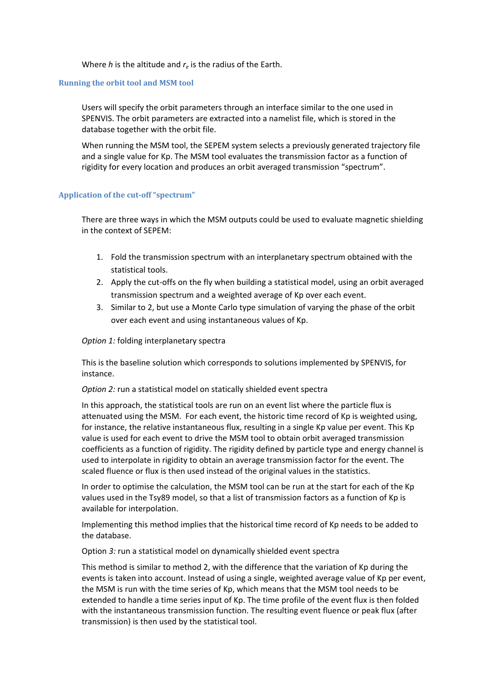Where *h* is the altitude and *re* is the radius of the Earth.

## **Running the orbit tool and MSM tool**

Users will specify the orbit parameters through an interface similar to the one used in SPENVIS. The orbit parameters are extracted into a namelist file, which is stored in the database together with the orbit file.

When running the MSM tool, the SEPEM system selects a previously generated trajectory file and a single value for Kp. The MSM tool evaluates the transmission factor as a function of rigidity for every location and produces an orbit averaged transmission "spectrum".

## **Application of the cut‐off "spectrum"**

There are three ways in which the MSM outputs could be used to evaluate magnetic shielding in the context of SEPEM:

- 1. Fold the transmission spectrum with an interplanetary spectrum obtained with the statistical tools.
- 2. Apply the cut‐offs on the fly when building a statistical model, using an orbit averaged transmission spectrum and a weighted average of Kp over each event.
- 3. Similar to 2, but use a Monte Carlo type simulation of varying the phase of the orbit over each event and using instantaneous values of Kp.

## *Option 1:* folding interplanetary spectra

This is the baseline solution which corresponds to solutions implemented by SPENVIS, for instance.

*Option 2:* run a statistical model on statically shielded event spectra

In this approach, the statistical tools are run on an event list where the particle flux is attenuated using the MSM. For each event, the historic time record of Kp is weighted using, for instance, the relative instantaneous flux, resulting in a single Kp value per event. This Kp value is used for each event to drive the MSM tool to obtain orbit averaged transmission coefficients as a function of rigidity. The rigidity defined by particle type and energy channel is used to interpolate in rigidity to obtain an average transmission factor for the event. The scaled fluence or flux is then used instead of the original values in the statistics.

In order to optimise the calculation, the MSM tool can be run at the start for each of the Kp values used in the Tsy89 model, so that a list of transmission factors as a function of Kp is available for interpolation.

Implementing this method implies that the historical time record of Kp needs to be added to the database.

Option *3:* run a statistical model on dynamically shielded event spectra

This method is similar to method 2, with the difference that the variation of Kp during the events is taken into account. Instead of using a single, weighted average value of Kp per event, the MSM is run with the time series of Kp, which means that the MSM tool needs to be extended to handle a time series input of Kp. The time profile of the event flux is then folded with the instantaneous transmission function. The resulting event fluence or peak flux (after transmission) is then used by the statistical tool.